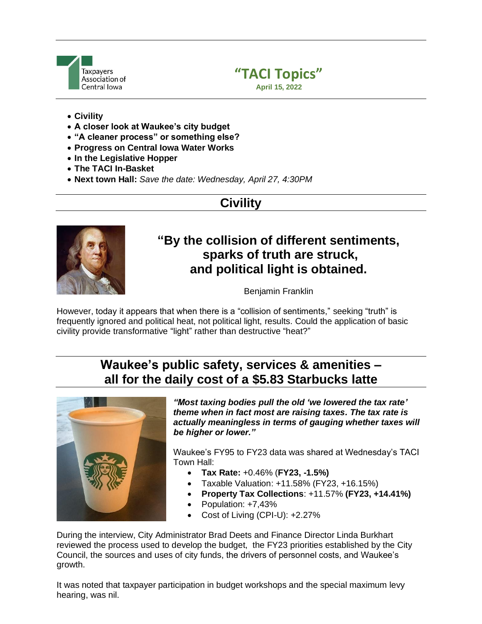



- **Civility**
- **A closer look at Waukee's city budget**
- **"A cleaner process" or something else?**
- **Progress on Central Iowa Water Works**
- **In the Legislative Hopper**
- **The TACI In-Basket**
- **Next town Hall:** *Save the date: Wednesday, April 27, 4:30PM*

# **Civility**



## **"By the collision of different sentiments, sparks of truth are struck, and political light is obtained.**

Benjamin Franklin

However, today it appears that when there is a "collision of sentiments," seeking "truth" is frequently ignored and political heat, not political light, results. Could the application of basic civility provide transformative "light" rather than destructive "heat?"

# **Waukee's public safety, services & amenities – all for the daily cost of a \$5.83 Starbucks latte**



*"Most taxing bodies pull the old 'we lowered the tax rate' theme when in fact most are raising taxes. The tax rate is actually meaningless in terms of gauging whether taxes will be higher or lower."*

Waukee's FY95 to FY23 data was shared at Wednesday's TACI Town Hall:

- **Tax Rate:** +0.46% (**FY23, -1.5%)**
- Taxable Valuation: +11.58% (FY23, +16.15%)
- **Property Tax Collections**: +11.57% **(FY23, +14.41%)**
- Population: +7,43%
- Cost of Living (CPI-U): +2.27%

During the interview, City Administrator Brad Deets and Finance Director Linda Burkhart reviewed the process used to develop the budget, the FY23 priorities established by the City Council, the sources and uses of city funds, the drivers of personnel costs, and Waukee's growth.

It was noted that taxpayer participation in budget workshops and the special maximum levy hearing, was nil.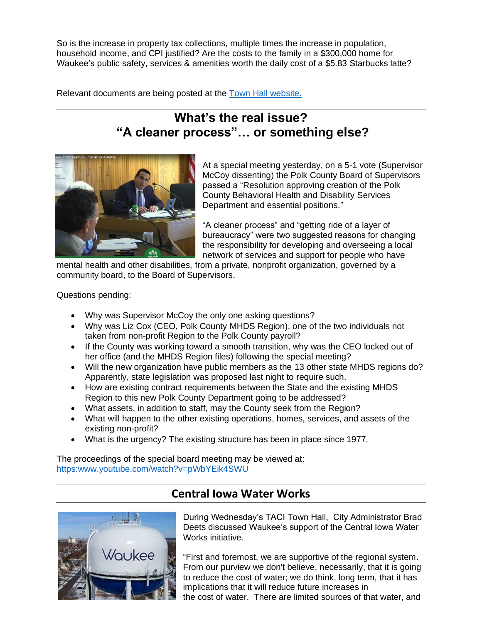So is the increase in property tax collections, multiple times the increase in population, household income, and CPI justified? Are the costs to the family in a \$300,000 home for Waukee's public safety, services & amenities worth the daily cost of a \$5.83 Starbucks latte?

Relevant documents are being posted at the [Town Hall website.](https://tacitownhall.org/next-town-hall-36/)

# **What's the real issue? "A cleaner process"… or something else?**



At a special meeting yesterday, on a 5-1 vote (Supervisor McCoy dissenting) the Polk County Board of Supervisors passed a "Resolution approving creation of the Polk County Behavioral Health and Disability Services Department and essential positions."

"A cleaner process" and "getting ride of a layer of bureaucracy" were two suggested reasons for changing the responsibility for developing and overseeing a local network of services and support for people who have

mental health and other disabilities, from a private, nonprofit organization, governed by a community board, to the Board of Supervisors.

Questions pending:

- Why was Supervisor McCoy the only one asking questions?
- Why was Liz Cox (CEO, Polk County MHDS Region), one of the two individuals not taken from non-profit Region to the Polk County payroll?
- If the County was working toward a smooth transition, why was the CEO locked out of her office (and the MHDS Region files) following the special meeting?
- Will the new organization have public members as the 13 other state MHDS regions do? Apparently, state legislation was proposed last night to require such.
- How are existing contract requirements between the State and the existing MHDS Region to this new Polk County Department going to be addressed?
- What assets, in addition to staff, may the County seek from the Region?
- What will happen to the other existing operations, homes, services, and assets of the existing non-profit?
- What is the urgency? The existing structure has been in place since 1977.

The proceedings of the special board meeting may be viewed at: https:www.youtube.com/watch?v=pWbYEik4SWU

# Waukee

### **Central Iowa Water Works**

During Wednesday's TACI Town Hall, City Administrator Brad Deets discussed Waukee's support of the Central Iowa Water Works initiative.

"First and foremost, we are supportive of the regional system. From our purview we don't believe, necessarily, that it is going to reduce the cost of water; we do think, long term, that it has implications that it will reduce future increases in the cost of water. There are limited sources of that water, and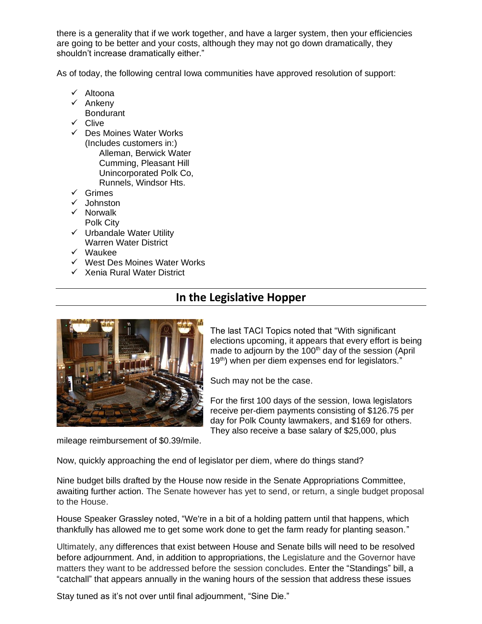there is a generality that if we work together, and have a larger system, then your efficiencies are going to be better and your costs, although they may not go down dramatically, they shouldn't increase dramatically either."

As of today, the following central Iowa communities have approved resolution of support:

- ✓ Altoona
- ✓ Ankeny
- Bondurant
- ✓ Clive
- ✓ Des Moines Water Works (Includes customers in:) Alleman, Berwick Water Cumming, Pleasant Hill Unincorporated Polk Co, Runnels, Windsor Hts.
- ✓ Grimes
- ✓ Johnston
- ✓ Norwalk Polk City
- ✓ Urbandale Water Utility Warren Water District
- ✓ Waukee
- ✓ West Des Moines Water Works
- ✓ Xenia Rural Water District

### **In the Legislative Hopper**



The last TACI Topics noted that "With significant elections upcoming, it appears that every effort is being made to adjourn by the 100<sup>th</sup> day of the session (April 19<sup>th</sup>) when per diem expenses end for legislators."

Such may not be the case.

For the first 100 days of the session, Iowa legislators receive per-diem payments consisting of \$126.75 per day for Polk County lawmakers, and \$169 for others. They also receive a base salary of \$25,000, plus

mileage reimbursement of \$0.39/mile.

Now, quickly approaching the end of legislator per diem, where do things stand?

Nine budget bills drafted by the House now reside in the Senate Appropriations Committee, awaiting further action. The Senate however has yet to send, or return, a single budget proposal to the House.

House Speaker Grassley noted, "We're in a bit of a holding pattern until that happens, which thankfully has allowed me to get some work done to get the farm ready for planting season."

Ultimately, any differences that exist between House and Senate bills will need to be resolved before adjournment. And, in addition to appropriations, the Legislature and the Governor have matters they want to be addressed before the session concludes. Enter the "Standings" bill, a "catchall" that appears annually in the waning hours of the session that address these issues

Stay tuned as it's not over until final adjournment, "Sine Die."